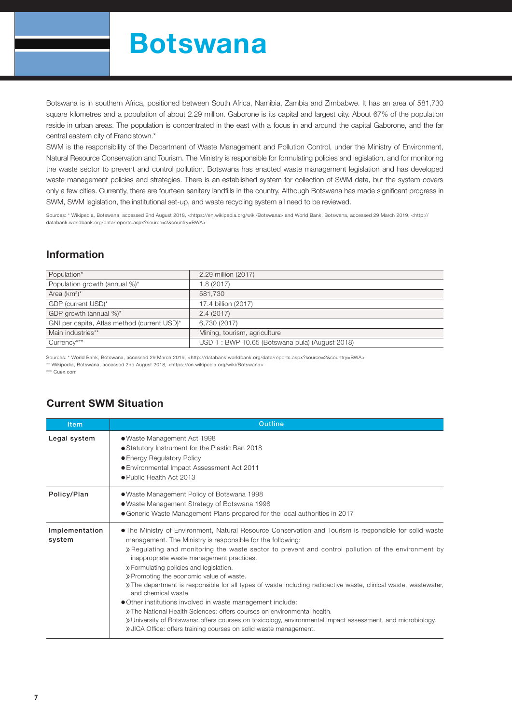# Botswana

Botswana is in southern Africa, positioned between South Africa, Namibia, Zambia and Zimbabwe. It has an area of 581,730 square kilometres and a population of about 2.29 million. Gaborone is its capital and largest city. About 67% of the population reside in urban areas. The population is concentrated in the east with a focus in and around the capital Gaborone, and the far central eastern city of Francistown.\*

SWM is the responsibility of the Department of Waste Management and Pollution Control, under the Ministry of Environment, Natural Resource Conservation and Tourism. The Ministry is responsible for formulating policies and legislation, and for monitoring the waste sector to prevent and control pollution. Botswana has enacted waste management legislation and has developed waste management policies and strategies. There is an established system for collection of SWM data, but the system covers only a few cities. Currently, there are fourteen sanitary landfills in the country. Although Botswana has made significant progress in SWM, SWM legislation, the institutional set-up, and waste recycling system all need to be reviewed.

Sources: \* Wikipedia, Botswana, accessed 2nd August 2018, <https://en.wikipedia.org/wiki/Botswana> and World Bank, Botswana, accessed 29 March 2019, <http:// databank.worldbank.org/data/reports.aspx?source=2&country=BWA>

## Information

| 2.29 million (2017)                            |
|------------------------------------------------|
| 1.8(2017)                                      |
| 581,730                                        |
| 17.4 billion (2017)                            |
| 2.4(2017)                                      |
| 6,730 (2017)                                   |
| Mining, tourism, agriculture                   |
| USD 1: BWP 10.65 (Botswana pula) (August 2018) |
|                                                |

Sources: \* World Bank, Botswana, accessed 29 March 2019, <http://databank.worldbank.org/data/reports.aspx?source=2&country=BWA>

\*\* Wikipedia, Botswana, accessed 2nd August 2018, <https://en.wikipedia.org/wiki/Botswana>

\*\*\* Cuex.com

### Current SWM Situation

| <b>Item</b>              | <b>Outline</b>                                                                                                                                                                                                                                                                                                                                                                                                                                                                                                                                                                                                                                                                                                                                                                                                                                                                         |  |  |  |  |  |
|--------------------------|----------------------------------------------------------------------------------------------------------------------------------------------------------------------------------------------------------------------------------------------------------------------------------------------------------------------------------------------------------------------------------------------------------------------------------------------------------------------------------------------------------------------------------------------------------------------------------------------------------------------------------------------------------------------------------------------------------------------------------------------------------------------------------------------------------------------------------------------------------------------------------------|--|--|--|--|--|
| Legal system             | • Waste Management Act 1998<br>• Statutory Instrument for the Plastic Ban 2018<br>• Energy Regulatory Policy<br>• Environmental Impact Assessment Act 2011<br>● Public Health Act 2013                                                                                                                                                                                                                                                                                                                                                                                                                                                                                                                                                                                                                                                                                                 |  |  |  |  |  |
| Policy/Plan              | • Waste Management Policy of Botswana 1998<br>• Waste Management Strategy of Botswana 1998<br>• Generic Waste Management Plans prepared for the local authorities in 2017                                                                                                                                                                                                                                                                                                                                                                                                                                                                                                                                                                                                                                                                                                              |  |  |  |  |  |
| Implementation<br>system | • The Ministry of Environment, Natural Resource Conservation and Tourism is responsible for solid waste<br>management. The Ministry is responsible for the following:<br>» Regulating and monitoring the waste sector to prevent and control pollution of the environment by<br>inappropriate waste management practices.<br>» Formulating policies and legislation.<br>» Promoting the economic value of waste.<br>» The department is responsible for all types of waste including radioactive waste, clinical waste, wastewater,<br>and chemical waste.<br>• Other institutions involved in waste management include:<br>» The National Health Sciences: offers courses on environmental health.<br>» University of Botswana: offers courses on toxicology, environmental impact assessment, and microbiology.<br>» JICA Office: offers training courses on solid waste management. |  |  |  |  |  |